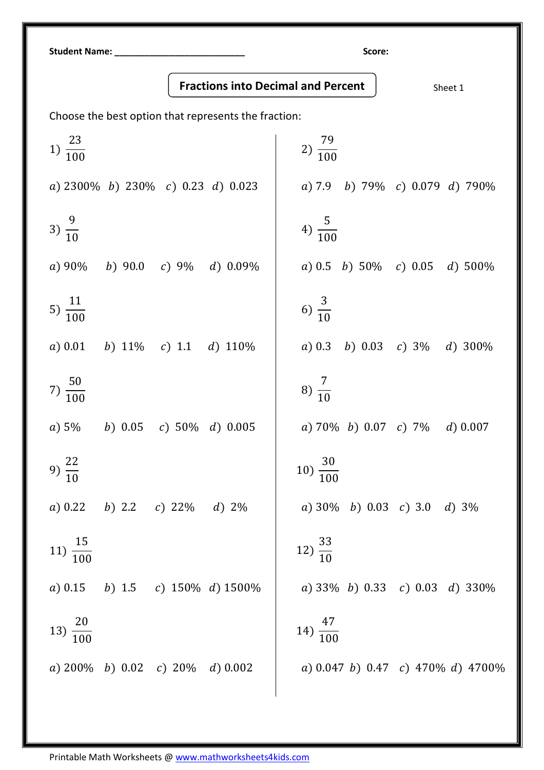Student Name: \_\_\_\_\_\_\_\_\_\_\_\_\_\_\_\_\_\_\_\_\_\_\_\_\_\_ Score:

Fractions into Decimal and Percent  $\vert$  sheet 1

Choose the best option that represents the fraction:

| $1) \frac{23}{100}$                     | $2)\frac{79}{100}$                      |
|-----------------------------------------|-----------------------------------------|
| a) $2300\%$ b) $230\%$ c) 0.23 d) 0.023 | a) 7.9 b) 79% c) 0.079 d) 790%          |
| 3) $\frac{9}{10}$                       | 4) $\frac{5}{100}$                      |
| b) 90.0 c) 9% d) 0.09%<br>$a) 90\%$     | a) 0.5 b) 50% c) 0.05 d) 500%           |
| 5) $\frac{11}{100}$                     | 6) $\frac{3}{10}$                       |
| b) $11\%$ c) 1.1 d) $110\%$<br>a) 0.01  | b) 0.03 c) $3\%$ d) $300\%$<br>$a)$ 0.3 |
| $7) \frac{50}{100}$                     | 8) $\frac{7}{10}$                       |
| b) 0.05 c) 50% d) 0.005<br>a) 5%        | a) 70% b) 0.07 c) 7% d) 0.007           |
| 9) $\frac{22}{10}$                      | $10) \frac{30}{100}$                    |
| b) 2.2 c) 22\% d) 2\%<br>a) 0.22        | a) $30\%$ b) 0.03 c) 3.0 d) $3\%$       |
| $11) \frac{15}{100}$                    | $12)\frac{33}{10}$                      |
| a) 0.15 b) 1.5 c) 150% d) 1500%         | a) 33% b) 0.33 c) 0.03 d) 330%          |
| 13) $\frac{20}{100}$                    | 14) $\frac{47}{100}$                    |
| a) $200\%$ b) 0.02 c) $20\%$ d) 0.002   | a) 0.047 b) 0.47 c) 470% d) 4700%       |
|                                         |                                         |